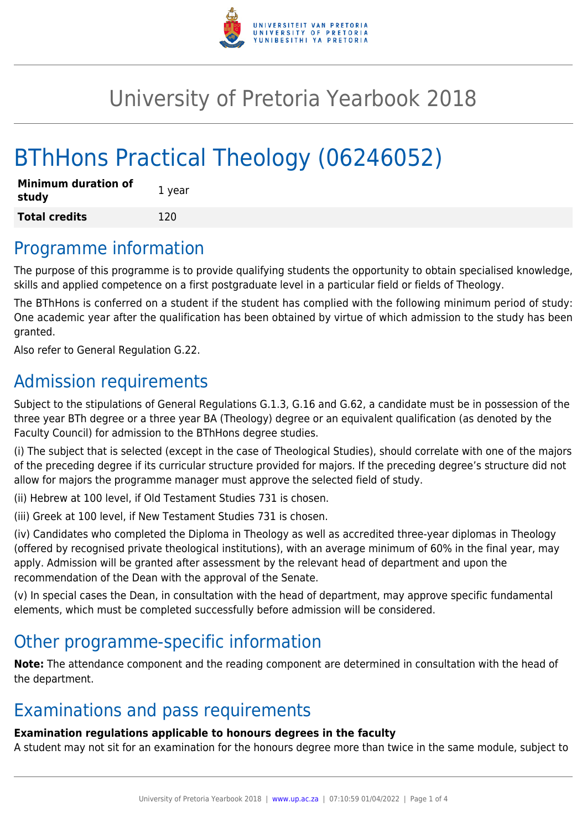

## University of Pretoria Yearbook 2018

# BThHons Practical Theology (06246052)

| <b>Minimum duration of</b><br>study | 1 year |
|-------------------------------------|--------|
| <b>Total credits</b>                | 120    |

#### Programme information

The purpose of this programme is to provide qualifying students the opportunity to obtain specialised knowledge, skills and applied competence on a first postgraduate level in a particular field or fields of Theology.

The BThHons is conferred on a student if the student has complied with the following minimum period of study: One academic year after the qualification has been obtained by virtue of which admission to the study has been granted.

Also refer to General Regulation G.22.

### Admission requirements

Subject to the stipulations of General Regulations G.1.3, G.16 and G.62, a candidate must be in possession of the three year BTh degree or a three year BA (Theology) degree or an equivalent qualification (as denoted by the Faculty Council) for admission to the BThHons degree studies.

(i) The subject that is selected (except in the case of Theological Studies), should correlate with one of the majors of the preceding degree if its curricular structure provided for majors. If the preceding degree's structure did not allow for majors the programme manager must approve the selected field of study.

(ii) Hebrew at 100 level, if Old Testament Studies 731 is chosen.

(iii) Greek at 100 level, if New Testament Studies 731 is chosen.

(iv) Candidates who completed the Diploma in Theology as well as accredited three-year diplomas in Theology (offered by recognised private theological institutions), with an average minimum of 60% in the final year, may apply. Admission will be granted after assessment by the relevant head of department and upon the recommendation of the Dean with the approval of the Senate.

(v) In special cases the Dean, in consultation with the head of department, may approve specific fundamental elements, which must be completed successfully before admission will be considered.

### Other programme-specific information

**Note:** The attendance component and the reading component are determined in consultation with the head of the department.

### Examinations and pass requirements

#### **Examination regulations applicable to honours degrees in the faculty**

A student may not sit for an examination for the honours degree more than twice in the same module, subject to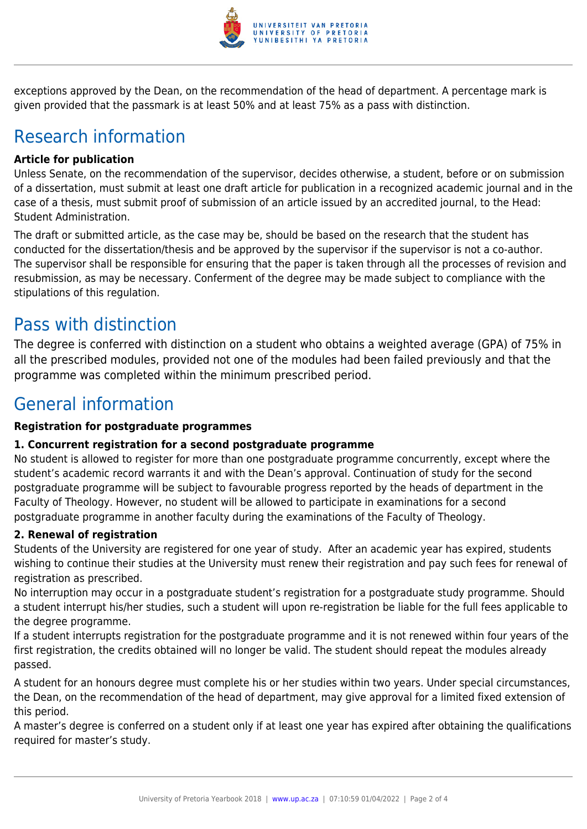

exceptions approved by the Dean, on the recommendation of the head of department. A percentage mark is given provided that the passmark is at least 50% and at least 75% as a pass with distinction.

### Research information

#### **Article for publication**

Unless Senate, on the recommendation of the supervisor, decides otherwise, a student, before or on submission of a dissertation, must submit at least one draft article for publication in a recognized academic journal and in the case of a thesis, must submit proof of submission of an article issued by an accredited journal, to the Head: Student Administration.

The draft or submitted article, as the case may be, should be based on the research that the student has conducted for the dissertation/thesis and be approved by the supervisor if the supervisor is not a co-author. The supervisor shall be responsible for ensuring that the paper is taken through all the processes of revision and resubmission, as may be necessary. Conferment of the degree may be made subject to compliance with the stipulations of this regulation.

### Pass with distinction

The degree is conferred with distinction on a student who obtains a weighted average (GPA) of 75% in all the prescribed modules, provided not one of the modules had been failed previously and that the programme was completed within the minimum prescribed period.

### General information

#### **Registration for postgraduate programmes**

#### **1. Concurrent registration for a second postgraduate programme**

No student is allowed to register for more than one postgraduate programme concurrently, except where the student's academic record warrants it and with the Dean's approval. Continuation of study for the second postgraduate programme will be subject to favourable progress reported by the heads of department in the Faculty of Theology. However, no student will be allowed to participate in examinations for a second postgraduate programme in another faculty during the examinations of the Faculty of Theology.

#### **2. Renewal of registration**

Students of the University are registered for one year of study. After an academic year has expired, students wishing to continue their studies at the University must renew their registration and pay such fees for renewal of registration as prescribed.

No interruption may occur in a postgraduate student's registration for a postgraduate study programme. Should a student interrupt his/her studies, such a student will upon re-registration be liable for the full fees applicable to the degree programme.

If a student interrupts registration for the postgraduate programme and it is not renewed within four years of the first registration, the credits obtained will no longer be valid. The student should repeat the modules already passed.

A student for an honours degree must complete his or her studies within two years. Under special circumstances, the Dean, on the recommendation of the head of department, may give approval for a limited fixed extension of this period.

A master's degree is conferred on a student only if at least one year has expired after obtaining the qualifications required for master's study.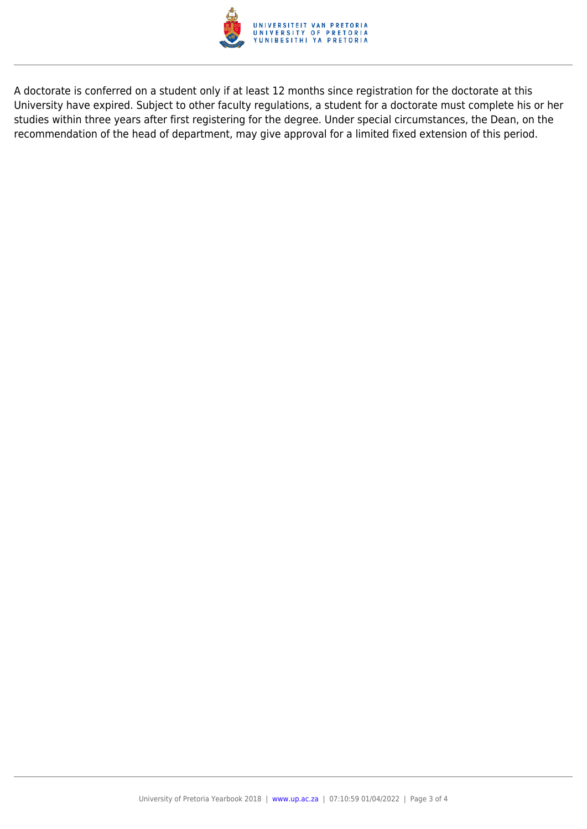

A doctorate is conferred on a student only if at least 12 months since registration for the doctorate at this University have expired. Subject to other faculty regulations, a student for a doctorate must complete his or her studies within three years after first registering for the degree. Under special circumstances, the Dean, on the recommendation of the head of department, may give approval for a limited fixed extension of this period.